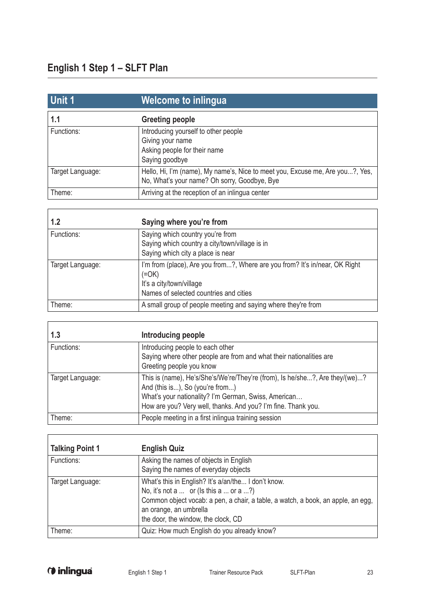$\overline{1}$ 

 $\overline{1}$ 

| Unit 1           | Welcome to inlingua                                                                                                           |
|------------------|-------------------------------------------------------------------------------------------------------------------------------|
| 1.1              | <b>Greeting people</b>                                                                                                        |
| Functions:       | Introducing yourself to other people<br>Giving your name<br>Asking people for their name<br>Saying goodbye                    |
| Target Language: | Hello, Hi, I'm (name), My name's, Nice to meet you, Excuse me, Are you?, Yes,<br>No, What's your name? Oh sorry, Goodbye, Bye |
| Theme:           | Arriving at the reception of an inlingua center                                                                               |

| 1.2              | Saying where you're from                                                                                                                                                |
|------------------|-------------------------------------------------------------------------------------------------------------------------------------------------------------------------|
| Functions:       | Saying which country you're from<br>Saying which country a city/town/village is in<br>Saying which city a place is near                                                 |
| Target Language: | I'm from (place), Are you from?, Where are you from? It's in/near, OK Right<br>$(=\!\mathsf{OK})$<br>It's a city/town/village<br>Names of selected countries and cities |
| Theme:           | A small group of people meeting and saying where they're from                                                                                                           |

| 1.3              | Introducing people                                                                                                                                                                                                                      |
|------------------|-----------------------------------------------------------------------------------------------------------------------------------------------------------------------------------------------------------------------------------------|
| Functions:       | Introducing people to each other<br>Saying where other people are from and what their nationalities are<br>Greeting people you know                                                                                                     |
| Target Language: | This is (name), He's/She's/We're/They're (from), Is he/she?, Are they/(we)?<br>And (this is), So (you're from)<br>What's your nationality? I'm German, Swiss, American<br>How are you? Very well, thanks. And you? I'm fine. Thank you. |
| Theme:           | People meeting in a first inlingua training session                                                                                                                                                                                     |

| <b>Talking Point 1</b> | <b>English Quiz</b>                                                                                                                                                                                                                                |
|------------------------|----------------------------------------------------------------------------------------------------------------------------------------------------------------------------------------------------------------------------------------------------|
| Functions:             | Asking the names of objects in English<br>Saying the names of everyday objects                                                                                                                                                                     |
| Target Language:       | What's this in English? It's a/an/the I don't know.<br>No, it's not a  or (Is this a  or a ?)<br>Common object vocab: a pen, a chair, a table, a watch, a book, an apple, an egg,<br>an orange, an umbrella<br>the door, the window, the clock, CD |
| Theme:                 | Quiz: How much English do you already know?                                                                                                                                                                                                        |

٦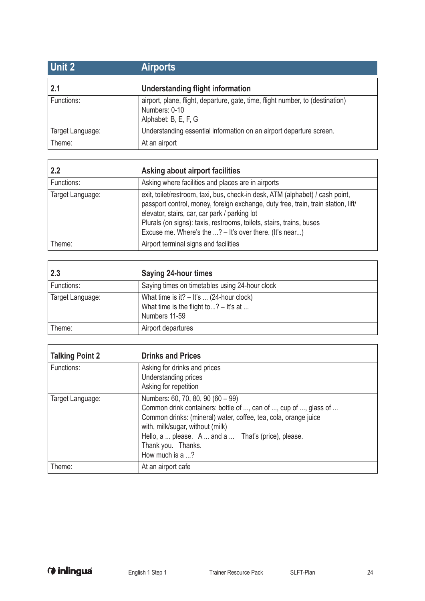| <b>Unit 2</b>    | <b>Airports</b>                                                                                                         |
|------------------|-------------------------------------------------------------------------------------------------------------------------|
| 2.1              | Understanding flight information                                                                                        |
| Functions:       | airport, plane, flight, departure, gate, time, flight number, to (destination)<br>Numbers: 0-10<br>Alphabet: B, E, F, G |
| Target Language: | Understanding essential information on an airport departure screen.                                                     |
| Theme:           | At an airport                                                                                                           |

| 2.2              | Asking about airport facilities                                                                                                                                                                                                                                                                                                                                 |
|------------------|-----------------------------------------------------------------------------------------------------------------------------------------------------------------------------------------------------------------------------------------------------------------------------------------------------------------------------------------------------------------|
| Functions:       | Asking where facilities and places are in airports                                                                                                                                                                                                                                                                                                              |
| Target Language: | exit, toilet/restroom, taxi, bus, check-in desk, ATM (alphabet) / cash point,<br>passport control, money, foreign exchange, duty free, train, train station, lift/<br>elevator, stairs, car, car park / parking lot<br>Plurals (on signs): taxis, restrooms, toilets, stairs, trains, buses<br>Excuse me. Where's the $\ldots$ ? - It's over there. (It's near) |
| Theme:           | Airport terminal signs and facilities                                                                                                                                                                                                                                                                                                                           |

| 2.3              | <b>Saying 24-hour times</b>                                                                            |
|------------------|--------------------------------------------------------------------------------------------------------|
| Functions:       | Saying times on timetables using 24-hour clock                                                         |
| Target Language: | What time is it? $-$ It's  (24-hour clock)<br>What time is the flight to? $-$ It's at<br>Numbers 11-59 |
| Theme:           | Airport departures                                                                                     |

| <b>Talking Point 2</b> | <b>Drinks and Prices</b>                                                                                                                                                                                                                                                                                    |
|------------------------|-------------------------------------------------------------------------------------------------------------------------------------------------------------------------------------------------------------------------------------------------------------------------------------------------------------|
| Functions:             | Asking for drinks and prices<br>Understanding prices<br>Asking for repetition                                                                                                                                                                                                                               |
| Target Language:       | Numbers: 60, 70, 80, 90 (60 - 99)<br>Common drink containers: bottle of , can of , cup of , glass of<br>Common drinks: (mineral) water, coffee, tea, cola, orange juice<br>with, milk/sugar, without (milk)<br>Hello, a  please. A  and a  That's (price), please.<br>Thank you. Thanks.<br>How much is a ? |
| Theme:                 | At an airport cafe                                                                                                                                                                                                                                                                                          |

 $\overline{1}$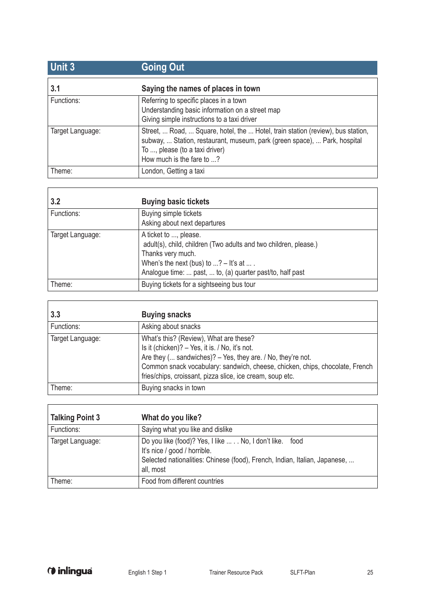| <b>Unit 3</b>    | <b>Going Out</b>                                                                                                                                                                                                            |
|------------------|-----------------------------------------------------------------------------------------------------------------------------------------------------------------------------------------------------------------------------|
| 3.1              | Saying the names of places in town                                                                                                                                                                                          |
| Functions:       | Referring to specific places in a town<br>Understanding basic information on a street map<br>Giving simple instructions to a taxi driver                                                                                    |
| Target Language: | Street,  Road,  Square, hotel, the  Hotel, train station (review), bus station,<br>subway,  Station, restaurant, museum, park (green space),  Park, hospital<br>To , please (to a taxi driver)<br>How much is the fare to ? |
| Theme:           | London, Getting a taxi                                                                                                                                                                                                      |

| 3.2              | <b>Buying basic tickets</b>                                                                                                                                                                                                             |
|------------------|-----------------------------------------------------------------------------------------------------------------------------------------------------------------------------------------------------------------------------------------|
| Functions:       | Buying simple tickets<br>Asking about next departures                                                                                                                                                                                   |
| Target Language: | A ticket to , please.<br>adult(s), child, children (Two adults and two children, please.)<br>Thanks very much.<br>When's the next (bus) to $\ldots$ ? – It's at $\ldots$ .<br>Analogue time:  past,  to, (a) quarter past/to, half past |
| Theme:           | Buying tickets for a sightseeing bus tour                                                                                                                                                                                               |

| 3.3              | <b>Buying snacks</b>                                                                                                                                                                                                                                                                                 |
|------------------|------------------------------------------------------------------------------------------------------------------------------------------------------------------------------------------------------------------------------------------------------------------------------------------------------|
| Functions:       | Asking about snacks                                                                                                                                                                                                                                                                                  |
| Target Language: | What's this? (Review), What are these?<br>Is it (chicken)? - Yes, it is. / No, it's not.<br>Are they ( sandwiches)? - Yes, they are. / No, they're not.<br>Common snack vocabulary: sandwich, cheese, chicken, chips, chocolate, French<br>fries/chips, croissant, pizza slice, ice cream, soup etc. |
| Theme:           | Buying snacks in town                                                                                                                                                                                                                                                                                |

| <b>Talking Point 3</b> | What do you like?                                                                                                                                                                    |
|------------------------|--------------------------------------------------------------------------------------------------------------------------------------------------------------------------------------|
| Functions:             | Saying what you like and dislike                                                                                                                                                     |
| Target Language:       | Do you like (food)? Yes, I like  . No, I don't like. food<br>It's nice / good / horrible.<br>Selected nationalities: Chinese (food), French, Indian, Italian, Japanese,<br>all, most |
| Theme:                 | Food from different countries                                                                                                                                                        |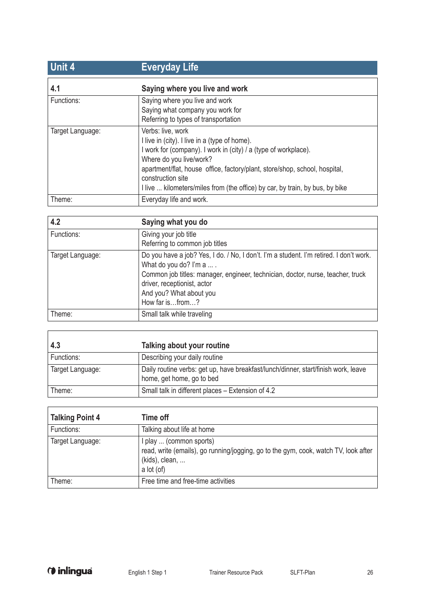| <b>Unit 4</b>    | <b>Everyday Life</b>                                                                                                                                                                                                                                                                                                                                |
|------------------|-----------------------------------------------------------------------------------------------------------------------------------------------------------------------------------------------------------------------------------------------------------------------------------------------------------------------------------------------------|
| 4.1              | Saying where you live and work                                                                                                                                                                                                                                                                                                                      |
| Functions:       | Saying where you live and work<br>Saying what company you work for<br>Referring to types of transportation                                                                                                                                                                                                                                          |
| Target Language: | Verbs: live, work<br>I live in (city). I live in a (type of home).<br>I work for (company). I work in (city) / a (type of workplace).<br>Where do you live/work?<br>apartment/flat, house office, factory/plant, store/shop, school, hospital,<br>construction site<br>I live  kilometers/miles from (the office) by car, by train, by bus, by bike |
| Theme:           | Everyday life and work.                                                                                                                                                                                                                                                                                                                             |

| 4.2              | Saying what you do                                                                                                                                                                                                                                                                 |
|------------------|------------------------------------------------------------------------------------------------------------------------------------------------------------------------------------------------------------------------------------------------------------------------------------|
| Functions:       | Giving your job title<br>Referring to common job titles                                                                                                                                                                                                                            |
| Target Language: | Do you have a job? Yes, I do. / No, I don't. I'm a student. I'm retired. I don't work.<br>What do you do? I'm a  .<br>Common job titles: manager, engineer, technician, doctor, nurse, teacher, truck<br>driver, receptionist, actor<br>And you? What about you<br>How far isfrom? |
| Theme:           | Small talk while traveling                                                                                                                                                                                                                                                         |

| 4.3              | Talking about your routine                                                                                      |
|------------------|-----------------------------------------------------------------------------------------------------------------|
| Functions:       | Describing your daily routine                                                                                   |
| Target Language: | Daily routine verbs: get up, have breakfast/lunch/dinner, start/finish work, leave<br>home, get home, go to bed |
| Theme:           | Small talk in different places - Extension of 4.2                                                               |

| <b>Talking Point 4</b> | Time off                                                                                                                                       |
|------------------------|------------------------------------------------------------------------------------------------------------------------------------------------|
| Functions:             | Talking about life at home                                                                                                                     |
| Target Language:       | I play  (common sports)<br>read, write (emails), go running/jogging, go to the gym, cook, watch TV, look after<br>(kids), clean,<br>a lot (of) |
| Theme:                 | Free time and free-time activities                                                                                                             |

Ï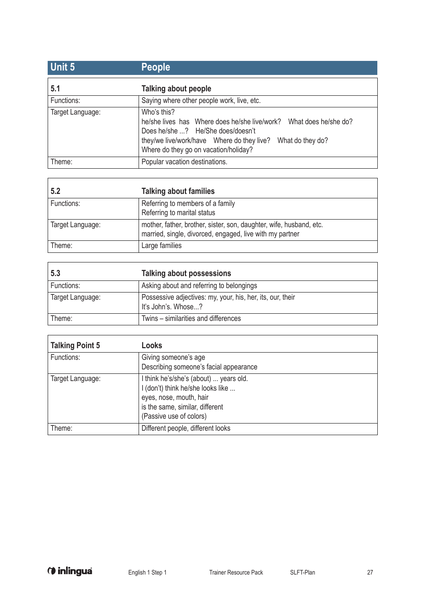| Unit 5           | <b>People</b>                                                                                                                                                                                                                        |
|------------------|--------------------------------------------------------------------------------------------------------------------------------------------------------------------------------------------------------------------------------------|
| 5.1              | Talking about people                                                                                                                                                                                                                 |
| Functions:       | Saying where other people work, live, etc.                                                                                                                                                                                           |
| Target Language: | Who's this?<br>he/she lives has Where does he/she live/work?<br>What does he/she do?<br>Does he/she ? He/She does/doesn't<br>they/we live/work/have Where do they live?<br>What do they do?<br>Where do they go on vacation/holiday? |
| Theme:           | Popular vacation destinations.                                                                                                                                                                                                       |

| 5.2              | <b>Talking about families</b>                                                                                                   |
|------------------|---------------------------------------------------------------------------------------------------------------------------------|
| Functions:       | Referring to members of a family                                                                                                |
|                  | Referring to marital status                                                                                                     |
| Target Language: | mother, father, brother, sister, son, daughter, wife, husband, etc.<br>married, single, divorced, engaged, live with my partner |
| Theme:           | Large families                                                                                                                  |

| 5.3              | Talking about possessions                                                         |
|------------------|-----------------------------------------------------------------------------------|
| Functions:       | Asking about and referring to belongings                                          |
| Target Language: | Possessive adjectives: my, your, his, her, its, our, their<br>It's John's. Whose? |
| Theme:           | Twins – similarities and differences                                              |

| <b>Talking Point 5</b> | Looks                                                                                                                                                                |
|------------------------|----------------------------------------------------------------------------------------------------------------------------------------------------------------------|
| Functions:             | Giving someone's age<br>Describing someone's facial appearance                                                                                                       |
| Target Language:       | I think he's/she's (about)  years old.<br>I (don't) think he/she looks like<br>eyes, nose, mouth, hair<br>is the same, similar, different<br>(Passive use of colors) |
| Theme:                 | Different people, different looks                                                                                                                                    |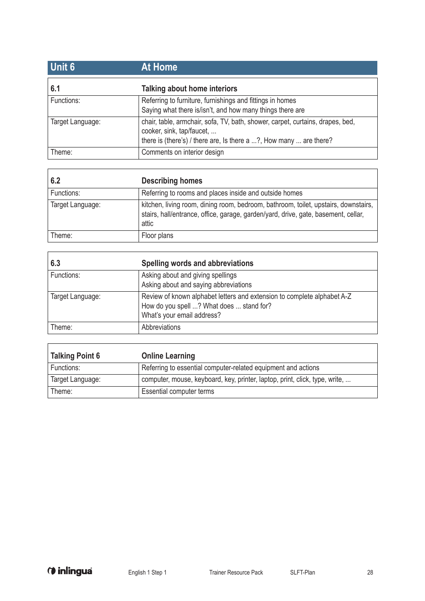| Unit 6           | <b>At Home</b>                                                                                                                                                                    |
|------------------|-----------------------------------------------------------------------------------------------------------------------------------------------------------------------------------|
| 6.1              | Talking about home interiors                                                                                                                                                      |
| Functions:       | Referring to furniture, furnishings and fittings in homes<br>Saying what there is/isn't, and how many things there are                                                            |
| Target Language: | chair, table, armchair, sofa, TV, bath, shower, carpet, curtains, drapes, bed,<br>cooker, sink, tap/faucet,<br>there is (there's) / there are, Is there a ?, How many  are there? |
| Theme:           | Comments on interior design                                                                                                                                                       |

| 6.2              | <b>Describing homes</b>                                                                                                                                                            |
|------------------|------------------------------------------------------------------------------------------------------------------------------------------------------------------------------------|
| Functions:       | Referring to rooms and places inside and outside homes                                                                                                                             |
| Target Language: | kitchen, living room, dining room, bedroom, bathroom, toilet, upstairs, downstairs,<br>stairs, hall/entrance, office, garage, garden/yard, drive, gate, basement, cellar,<br>attic |
| Theme:           | Floor plans                                                                                                                                                                        |

| 6.3              | Spelling words and abbreviations                                                                                                                  |
|------------------|---------------------------------------------------------------------------------------------------------------------------------------------------|
| Functions:       | Asking about and giving spellings<br>Asking about and saying abbreviations                                                                        |
| Target Language: | Review of known alphabet letters and extension to complete alphabet A-Z<br>How do you spell ? What does  stand for?<br>What's your email address? |
| Theme:           | Abbreviations                                                                                                                                     |

| <b>Talking Point 6</b> | <b>Online Learning</b>                                                      |
|------------------------|-----------------------------------------------------------------------------|
| Functions:             | Referring to essential computer-related equipment and actions               |
| Target Language:       | computer, mouse, keyboard, key, printer, laptop, print, click, type, write, |
| Theme:                 | Essential computer terms                                                    |

 $\mathbf{r}$ 

 $\Gamma$ 

٦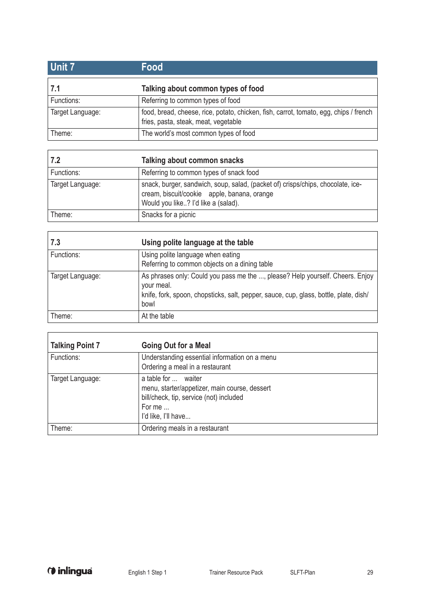| Unit 7           | Food                                                                                                                          |
|------------------|-------------------------------------------------------------------------------------------------------------------------------|
| 7.1              | Talking about common types of food                                                                                            |
| Functions:       | Referring to common types of food                                                                                             |
| Target Language: | food, bread, cheese, rice, potato, chicken, fish, carrot, tomato, egg, chips / french<br>fries, pasta, steak, meat, vegetable |
| Theme:           | The world's most common types of food                                                                                         |

| 7.2              | Talking about common snacks                                                                                                                                           |
|------------------|-----------------------------------------------------------------------------------------------------------------------------------------------------------------------|
| Functions:       | Referring to common types of snack food                                                                                                                               |
| Target Language: | snack, burger, sandwich, soup, salad, (packet of) crisps/chips, chocolate, ice-<br>cream, biscuit/cookie apple, banana, orange<br>Would you like? I'd like a (salad). |
| Theme:           | Snacks for a picnic                                                                                                                                                   |

| 7.3              | Using polite language at the table                                                                                                                                                           |
|------------------|----------------------------------------------------------------------------------------------------------------------------------------------------------------------------------------------|
| Functions:       | Using polite language when eating<br>Referring to common objects on a dining table                                                                                                           |
| Target Language: | As phrases only: Could you pass me the , please? Help yourself. Cheers. Enjoy<br>your meal.<br>knife, fork, spoon, chopsticks, salt, pepper, sauce, cup, glass, bottle, plate, dish/<br>bowl |
| Theme:           | At the table                                                                                                                                                                                 |

| <b>Talking Point 7</b> | <b>Going Out for a Meal</b>                                                                                                                      |
|------------------------|--------------------------------------------------------------------------------------------------------------------------------------------------|
| Functions:             | Understanding essential information on a menu<br>Ordering a meal in a restaurant                                                                 |
| Target Language:       | a table for  waiter<br>menu, starter/appetizer, main course, dessert<br>bill/check, tip, service (not) included<br>For me<br>I'd like, I'll have |
| Theme:                 | Ordering meals in a restaurant                                                                                                                   |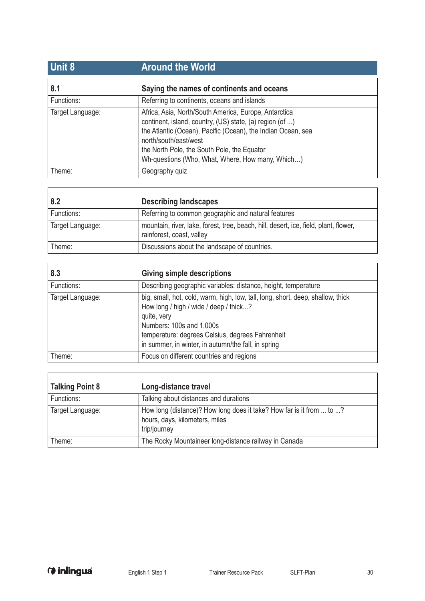| <b>Unit 8</b>    | <b>Around the World</b>                                                                                                                                                                                                                                                                                       |
|------------------|---------------------------------------------------------------------------------------------------------------------------------------------------------------------------------------------------------------------------------------------------------------------------------------------------------------|
| 8.1              | Saying the names of continents and oceans                                                                                                                                                                                                                                                                     |
| Functions:       | Referring to continents, oceans and islands                                                                                                                                                                                                                                                                   |
| Target Language: | Africa, Asia, North/South America, Europe, Antarctica<br>continent, island, country, (US) state, (a) region (of )<br>the Atlantic (Ocean), Pacific (Ocean), the Indian Ocean, sea<br>north/south/east/west<br>the North Pole, the South Pole, the Equator<br>Wh-questions (Who, What, Where, How many, Which) |
| Theme:           | Geography quiz                                                                                                                                                                                                                                                                                                |

| 8.2              | <b>Describing landscapes</b>                                                                                      |
|------------------|-------------------------------------------------------------------------------------------------------------------|
| Functions:       | Referring to common geographic and natural features                                                               |
| Target Language: | mountain, river, lake, forest, tree, beach, hill, desert, ice, field, plant, flower,<br>rainforest, coast, valley |
| Theme:           | Discussions about the landscape of countries.                                                                     |

| 8.3              | <b>Giving simple descriptions</b>                                                                                                                                                                                                                                               |
|------------------|---------------------------------------------------------------------------------------------------------------------------------------------------------------------------------------------------------------------------------------------------------------------------------|
| Functions:       | Describing geographic variables: distance, height, temperature                                                                                                                                                                                                                  |
| Target Language: | big, small, hot, cold, warm, high, low, tall, long, short, deep, shallow, thick<br>How long / high / wide / deep / thick?<br>quite, very<br>Numbers: 100s and 1,000s<br>temperature: degrees Celsius, degrees Fahrenheit<br>in summer, in winter, in autumn/the fall, in spring |
| Theme:           | Focus on different countries and regions                                                                                                                                                                                                                                        |

| <b>Talking Point 8</b> | Long-distance travel                                                                                                   |
|------------------------|------------------------------------------------------------------------------------------------------------------------|
| Functions:             | Talking about distances and durations                                                                                  |
| Target Language:       | How long (distance)? How long does it take? How far is it from  to ?<br>hours, days, kilometers, miles<br>trip/journey |
| Theme:                 | The Rocky Mountaineer long-distance railway in Canada                                                                  |

J.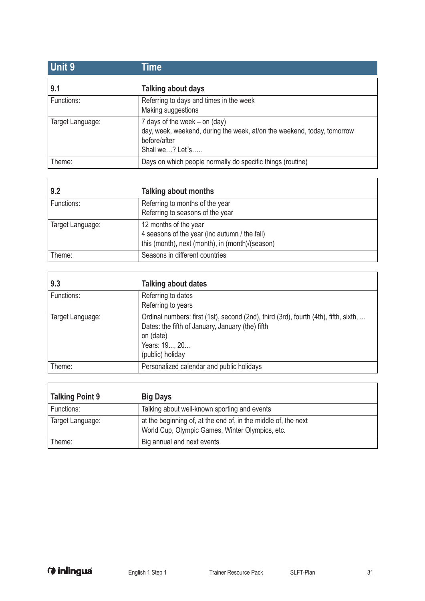| Unit 9           | Time                                                                                                                                          |
|------------------|-----------------------------------------------------------------------------------------------------------------------------------------------|
| 9.1              | Talking about days                                                                                                                            |
| Functions:       | Referring to days and times in the week<br>Making suggestions                                                                                 |
| Target Language: | 7 days of the week $-$ on (day)<br>day, week, weekend, during the week, at/on the weekend, today, tomorrow<br>before/after<br>Shall we? Let s |
| Theme:           | Days on which people normally do specific things (routine)                                                                                    |

| 9.2              | Talking about months                                                                                                      |
|------------------|---------------------------------------------------------------------------------------------------------------------------|
| Functions:       | Referring to months of the year<br>Referring to seasons of the year                                                       |
| Target Language: | 12 months of the year<br>4 seasons of the year (inc autumn / the fall)<br>this (month), next (month), in (month)/(season) |
| Theme:           | Seasons in different countries                                                                                            |

| 9.3              | <b>Talking about dates</b>                                                                                                                                                                 |
|------------------|--------------------------------------------------------------------------------------------------------------------------------------------------------------------------------------------|
| Functions:       | Referring to dates<br>Referring to years                                                                                                                                                   |
| Target Language: | Ordinal numbers: first (1st), second (2nd), third (3rd), fourth (4th), fifth, sixth,<br>Dates: the fifth of January, January (the) fifth<br>on (date)<br>Years: 19, 20<br>(public) holiday |
| Theme:           | Personalized calendar and public holidays                                                                                                                                                  |

| Talking Point 9  | <b>Big Days</b>                                                                                                   |
|------------------|-------------------------------------------------------------------------------------------------------------------|
| Functions:       | Talking about well-known sporting and events                                                                      |
| Target Language: | at the beginning of, at the end of, in the middle of, the next<br>World Cup, Olympic Games, Winter Olympics, etc. |
| Theme:           | Big annual and next events                                                                                        |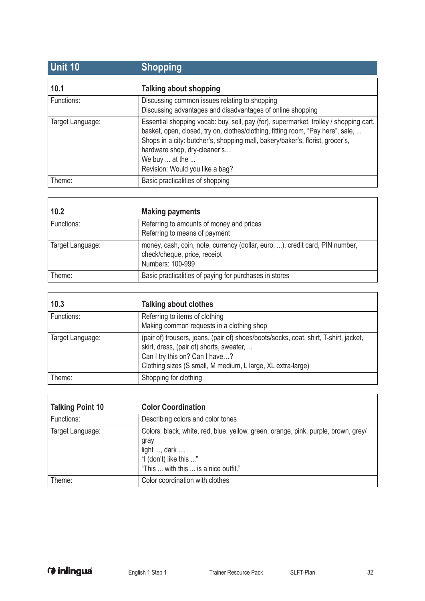| <b>Unit 10</b>   | <b>Shopping</b>                                                                                                                                                                                                                                                                                                                                |
|------------------|------------------------------------------------------------------------------------------------------------------------------------------------------------------------------------------------------------------------------------------------------------------------------------------------------------------------------------------------|
| 10.1             | <b>Talking about shopping</b>                                                                                                                                                                                                                                                                                                                  |
| Functions:       | Discussing common issues relating to shopping<br>Discussing advantages and disadvantages of online shopping                                                                                                                                                                                                                                    |
| Target Language: | Essential shopping vocab: buy, sell, pay (for), supermarket, trolley / shopping cart,<br>basket, open, closed, try on, clothes/clothing, fitting room, "Pay here", sale,<br>Shops in a city: butcher's, shopping mall, bakery/baker's, florist, grocer's,<br>hardware shop, dry-cleaner's<br>We buy  at the<br>Revision: Would you like a bag? |
| Theme:           | Basic practicalities of shopping                                                                                                                                                                                                                                                                                                               |

| 10.2             | <b>Making payments</b>                                                                                                           |
|------------------|----------------------------------------------------------------------------------------------------------------------------------|
| Functions:       | Referring to amounts of money and prices<br>Referring to means of payment                                                        |
| Target Language: | money, cash, coin, note, currency (dollar, euro, ), credit card, PIN number,<br>check/cheque, price, receipt<br>Numbers: 100-999 |
| Theme:           | Basic practicalities of paying for purchases in stores                                                                           |

| 10.3             | <b>Talking about clothes</b>                                                                                                                                                                                                       |
|------------------|------------------------------------------------------------------------------------------------------------------------------------------------------------------------------------------------------------------------------------|
| Functions:       | Referring to items of clothing<br>Making common requests in a clothing shop                                                                                                                                                        |
| Target Language: | (pair of) trousers, jeans, (pair of) shoes/boots/socks, coat, shirt, T-shirt, jacket,<br>skirt, dress, (pair of) shorts, sweater,<br>Can I try this on? Can I have?<br>Clothing sizes (S small, M medium, L large, XL extra-large) |
| Theme:           | Shopping for clothing                                                                                                                                                                                                              |

| <b>Talking Point 10</b> | <b>Color Coordination</b>                                                                                                                                                    |
|-------------------------|------------------------------------------------------------------------------------------------------------------------------------------------------------------------------|
| Functions:              | Describing colors and color tones                                                                                                                                            |
| Target Language:        | Colors: black, white, red, blue, yellow, green, orange, pink, purple, brown, grey/<br>gray<br>light , dark<br>"I (don't) like this "<br>"This  with this  is a nice outfit." |
| Theme:                  | Color coordination with clothes                                                                                                                                              |

 $\overline{1}$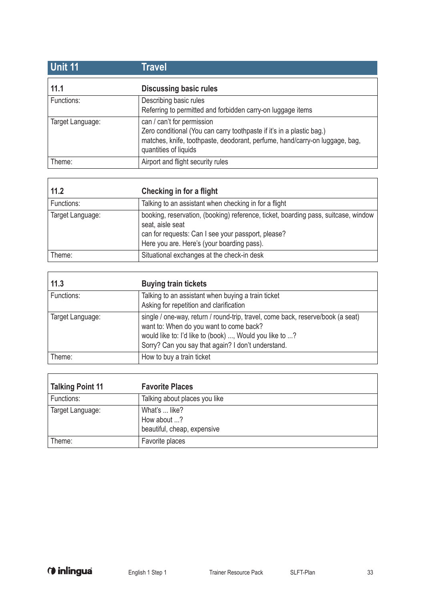| <b>Unit 11</b>   | Travel                                                                                                                                                                                                      |
|------------------|-------------------------------------------------------------------------------------------------------------------------------------------------------------------------------------------------------------|
| 11.1             | <b>Discussing basic rules</b>                                                                                                                                                                               |
| Functions:       | Describing basic rules<br>Referring to permitted and forbidden carry-on luggage items                                                                                                                       |
| Target Language: | can / can't for permission<br>Zero conditional (You can carry toothpaste if it's in a plastic bag.)<br>matches, knife, toothpaste, deodorant, perfume, hand/carry-on luggage, bag,<br>quantities of liquids |
| Theme:           | Airport and flight security rules                                                                                                                                                                           |

| 11.2             | Checking in for a flight                                                                                                                                                                                   |
|------------------|------------------------------------------------------------------------------------------------------------------------------------------------------------------------------------------------------------|
| Functions:       | Talking to an assistant when checking in for a flight                                                                                                                                                      |
| Target Language: | booking, reservation, (booking) reference, ticket, boarding pass, suitcase, window<br>seat, aisle seat<br>can for requests: Can I see your passport, please?<br>Here you are. Here's (your boarding pass). |
| Theme:           | Situational exchanges at the check-in desk                                                                                                                                                                 |

| 11.3             | <b>Buying train tickets</b>                                                                                                                                                                                                                 |
|------------------|---------------------------------------------------------------------------------------------------------------------------------------------------------------------------------------------------------------------------------------------|
| Functions:       | Talking to an assistant when buying a train ticket<br>Asking for repetition and clarification                                                                                                                                               |
| Target Language: | single / one-way, return / round-trip, travel, come back, reserve/book (a seat)<br>want to: When do you want to come back?<br>would like to: I'd like to (book) , Would you like to ?<br>Sorry? Can you say that again? I don't understand. |
| Theme:           | How to buy a train ticket                                                                                                                                                                                                                   |

| <b>Talking Point 11</b> | <b>Favorite Places</b>                                      |
|-------------------------|-------------------------------------------------------------|
| Functions:              | Talking about places you like                               |
| Target Language:        | What's  like?<br>How about ?<br>beautiful, cheap, expensive |
| Theme:                  | Favorite places                                             |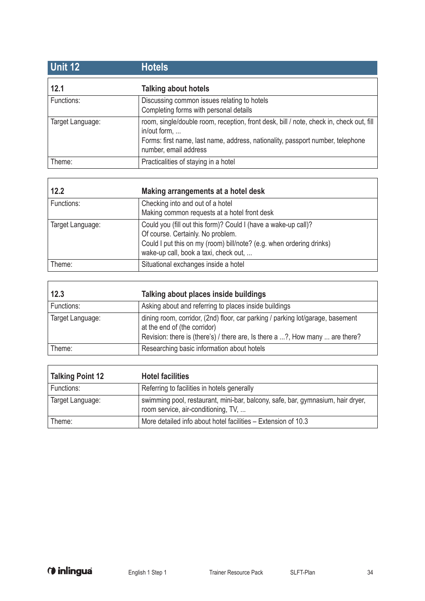| <b>Unit 12</b>   | <b>Hotels</b>                                                                                                                                                                                                      |
|------------------|--------------------------------------------------------------------------------------------------------------------------------------------------------------------------------------------------------------------|
| 12.1             | <b>Talking about hotels</b>                                                                                                                                                                                        |
| Functions:       | Discussing common issues relating to hotels<br>Completing forms with personal details                                                                                                                              |
| Target Language: | room, single/double room, reception, front desk, bill / note, check in, check out, fill<br>in/out form,<br>Forms: first name, last name, address, nationality, passport number, telephone<br>number, email address |
| Theme:           | Practicalities of staying in a hotel                                                                                                                                                                               |

| 12.2             | Making arrangements at a hotel desk                                                                                                                                                                                  |
|------------------|----------------------------------------------------------------------------------------------------------------------------------------------------------------------------------------------------------------------|
| Functions:       | Checking into and out of a hotel<br>Making common requests at a hotel front desk                                                                                                                                     |
| Target Language: | Could you (fill out this form)? Could I (have a wake-up call)?<br>Of course. Certainly. No problem.<br>Could I put this on my (room) bill/note? (e.g. when ordering drinks)<br>wake-up call, book a taxi, check out, |
| Theme:           | Situational exchanges inside a hotel                                                                                                                                                                                 |

| 12.3             | Talking about places inside buildings                                                                                                                                                          |
|------------------|------------------------------------------------------------------------------------------------------------------------------------------------------------------------------------------------|
| Functions:       | Asking about and referring to places inside buildings                                                                                                                                          |
| Target Language: | dining room, corridor, (2nd) floor, car parking / parking lot/garage, basement<br>at the end of (the corridor)<br>Revision: there is (there's) / there are, Is there a ?, How many  are there? |
| Theme:           | Researching basic information about hotels                                                                                                                                                     |

| <b>Talking Point 12</b> | <b>Hotel facilities</b>                                                                                                |
|-------------------------|------------------------------------------------------------------------------------------------------------------------|
| Functions:              | Referring to facilities in hotels generally                                                                            |
| Target Language:        | swimming pool, restaurant, mini-bar, balcony, safe, bar, gymnasium, hair dryer,<br>room service, air-conditioning, TV, |
| Theme:                  | More detailed info about hotel facilities - Extension of 10.3                                                          |

 $\overline{\phantom{a}}$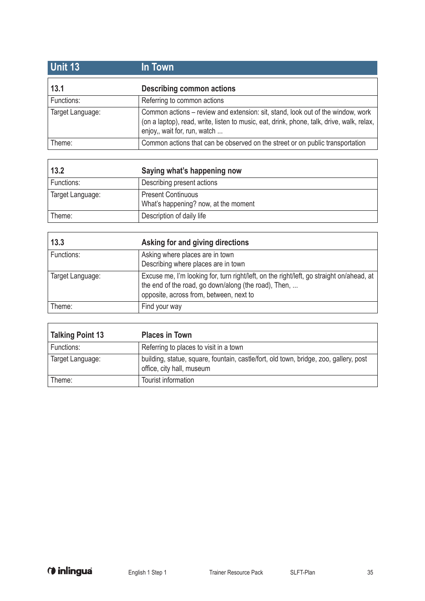| <b>Unit 13</b>   | In Town                                                                                                                                                                                                      |
|------------------|--------------------------------------------------------------------------------------------------------------------------------------------------------------------------------------------------------------|
| 13.1             | <b>Describing common actions</b>                                                                                                                                                                             |
| Functions:       | Referring to common actions                                                                                                                                                                                  |
| Target Language: | Common actions - review and extension: sit, stand, look out of the window, work<br>(on a laptop), read, write, listen to music, eat, drink, phone, talk, drive, walk, relax,<br>enjoy,, wait for, run, watch |
| Theme:           | Common actions that can be observed on the street or on public transportation                                                                                                                                |

| 13.2             | Saying what's happening now                                       |
|------------------|-------------------------------------------------------------------|
| Functions:       | Describing present actions                                        |
| Target Language: | <b>Present Continuous</b><br>What's happening? now, at the moment |
| Theme:           | Description of daily life                                         |

| 13.3             | Asking for and giving directions                                                                                                                                                            |
|------------------|---------------------------------------------------------------------------------------------------------------------------------------------------------------------------------------------|
| Functions:       | Asking where places are in town<br>Describing where places are in town                                                                                                                      |
| Target Language: | Excuse me, I'm looking for, turn right/left, on the right/left, go straight on/ahead, at<br>the end of the road, go down/along (the road), Then,<br>opposite, across from, between, next to |
| Theme:           | Find your way                                                                                                                                                                               |

| <b>Talking Point 13</b> | <b>Places in Town</b>                                                                                              |
|-------------------------|--------------------------------------------------------------------------------------------------------------------|
| Functions:              | Referring to places to visit in a town                                                                             |
| Target Language:        | building, statue, square, fountain, castle/fort, old town, bridge, zoo, gallery, post<br>office, city hall, museum |
| Theme:                  | Tourist information                                                                                                |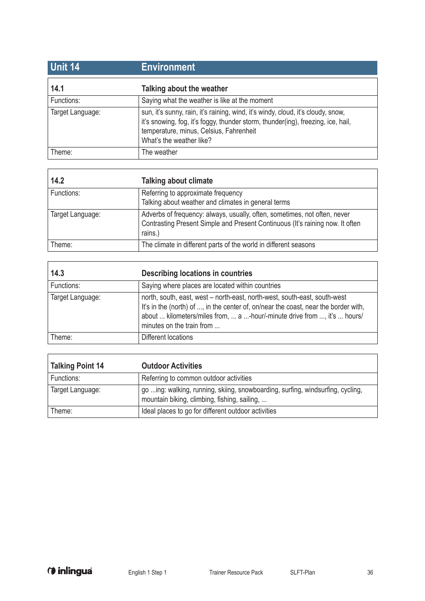| <b>Unit 14</b>   | <b>Environment</b>                                                                                                                                                                                                                          |
|------------------|---------------------------------------------------------------------------------------------------------------------------------------------------------------------------------------------------------------------------------------------|
| 14.1             | Talking about the weather                                                                                                                                                                                                                   |
| Functions:       | Saying what the weather is like at the moment                                                                                                                                                                                               |
| Target Language: | sun, it's sunny, rain, it's raining, wind, it's windy, cloud, it's cloudy, snow,<br>it's snowing, fog, it's foggy, thunder storm, thunder(ing), freezing, ice, hail,<br>temperature, minus, Celsius, Fahrenheit<br>What's the weather like? |
| Theme:           | The weather                                                                                                                                                                                                                                 |

| 14.2             | <b>Talking about climate</b>                                                                                                                                          |
|------------------|-----------------------------------------------------------------------------------------------------------------------------------------------------------------------|
| Functions:       | Referring to approximate frequency<br>Talking about weather and climates in general terms                                                                             |
| Target Language: | Adverbs of frequency: always, usually, often, sometimes, not often, never<br>Contrasting Present Simple and Present Continuous (It's raining now. It often<br>rains.) |
| Theme:           | The climate in different parts of the world in different seasons                                                                                                      |

| 14.3             | Describing locations in countries                                                                                                                                                                                                                                         |
|------------------|---------------------------------------------------------------------------------------------------------------------------------------------------------------------------------------------------------------------------------------------------------------------------|
| Functions:       | Saying where places are located within countries                                                                                                                                                                                                                          |
| Target Language: | north, south, east, west - north-east, north-west, south-east, south-west<br>It's in the (north) of , in the center of, on/near the coast, near the border with,<br>about  kilometers/miles from,  a -hour/-minute drive from , it's  hours/<br>minutes on the train from |
| Theme:           | Different locations                                                                                                                                                                                                                                                       |

| <b>Talking Point 14</b> | <b>Outdoor Activities</b>                                                                                                      |
|-------------------------|--------------------------------------------------------------------------------------------------------------------------------|
| Functions:              | Referring to common outdoor activities                                                                                         |
| Target Language:        | go ing: walking, running, skiing, snowboarding, surfing, windsurfing, cycling,<br>mountain biking, climbing, fishing, sailing, |
| Theme:                  | Ideal places to go for different outdoor activities                                                                            |